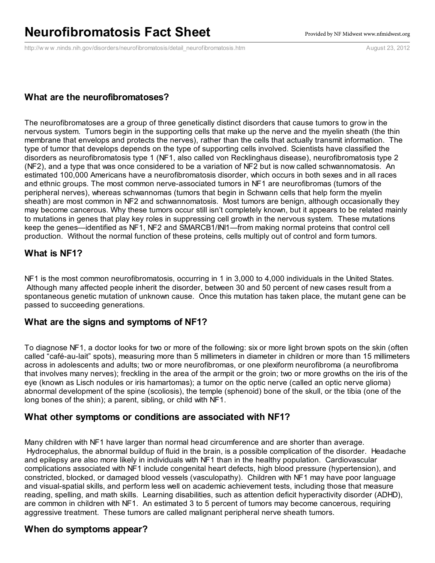## **What are the neurofibromatoses?**

The neurofibromatoses are a group of three genetically distinct disorders that cause tumors to grow in the nervous system. Tumors begin in the supporting cells that make up the nerve and the myelin sheath (the thin membrane that envelops and protects the nerves), rather than the cells that actually transmit information. The type of tumor that develops depends on the type of supporting cells involved. Scientists have classified the disorders as neurofibromatosis type 1 (NF1, also called von Recklinghaus disease), neurofibromatosis type 2 (NF2), and a type that was once considered to be a variation of NF2 but is now called schwannomatosis. An estimated 100,000 Americans have a neurofibromatosis disorder, which occurs in both sexes and in all races and ethnic groups. The most common nerve-associated tumors in NF1 are neurofibromas (tumors of the peripheral nerves), whereas schwannomas (tumors that begin in Schwann cells that help form the myelin sheath) are most common in NF2 and schwannomatosis. Most tumors are benign, although occasionally they may become cancerous. Why these tumors occur still isn't completely known, but it appears to be related mainly to mutations in genes that play key roles in suppressing cell growth in the nervous system. These mutations keep the genes—identified as NF1, NF2 and SMARCB1/INI1—from making normal proteins that control cell production. Without the normal function of these proteins, cells multiply out of control and form tumors.

# **What is NF1?**

NF1 is the most common neurofibromatosis, occurring in 1 in 3,000 to 4,000 individuals in the United States. Although many affected people inherit the disorder, between 30 and 50 percent of new cases result from a spontaneous genetic mutation of unknown cause. Once this mutation has taken place, the mutant gene can be passed to succeeding generations.

### **What are the signs and symptoms of NF1?**

To diagnose NF1, a doctor looks for two or more of the following: six or more light brown spots on the skin (often called "café-au-lait" spots), measuring more than 5 millimeters in diameter in children or more than 15 millimeters across in adolescents and adults; two or more neurofibromas, or one plexiform neurofibroma (a neurofibroma that involves many nerves); freckling in the area of the armpit or the groin; two or more growths on the iris of the eye (known as Lisch nodules or iris hamartomas); a tumor on the optic nerve (called an optic nerve glioma) abnormal development of the spine (scoliosis), the temple (sphenoid) bone of the skull, or the tibia (one of the long bones of the shin); a parent, sibling, or child with NF1.

## **What other symptoms or conditions are associated with NF1?**

Many children with NF1 have larger than normal head circumference and are shorter than average. Hydrocephalus, the abnormal buildup of fluid in the brain, is a possible complication of the disorder. Headache and epilepsy are also more likely in individuals with NF1 than in the healthy population. Cardiovascular complications associated with NF1 include congenital heart defects, high blood pressure (hypertension), and constricted, blocked, or damaged blood vessels (vasculopathy). Children with NF1 may have poor language and visual-spatial skills, and perform less well on academic achievement tests, including those that measure reading, spelling, and math skills. Learning disabilities, such as attention deficit hyperactivity disorder (ADHD), are common in children with NF1. An estimated 3 to 5 percent of tumors may become cancerous, requiring aggressive treatment. These tumors are called malignant peripheral nerve sheath tumors.

### **When do symptoms appear?**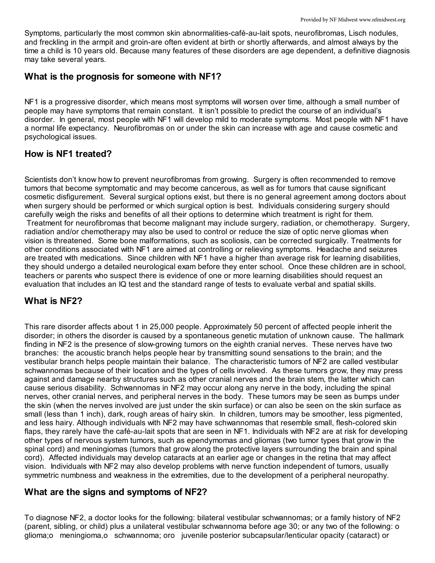Symptoms, particularly the most common skin abnormalities-café-au-lait spots, neurofibromas, Lisch nodules, and freckling in the armpit and groin-are often evident at birth or shortly afterwards, and almost always by the time a child is 10 years old. Because many features of these disorders are age dependent, a definitive diagnosis may take several years.

### **What is the prognosis for someone with NF1?**

NF1 is a progressive disorder, which means most symptoms will worsen over time, although a small number of people may have symptoms that remain constant. It isn't possible to predict the course of an individual's disorder. In general, most people with NF1 will develop mild to moderate symptoms. Most people with NF1 have a normal life expectancy. Neurofibromas on or under the skin can increase with age and cause cosmetic and psychological issues.

# **How is NF1 treated?**

Scientists don't know how to prevent neurofibromas from growing. Surgery is often recommended to remove tumors that become symptomatic and may become cancerous, as well as for tumors that cause significant cosmetic disfigurement. Several surgical options exist, but there is no general agreement among doctors about when surgery should be performed or which surgical option is best. Individuals considering surgery should carefully weigh the risks and benefits of all their options to determine which treatment is right for them. Treatment for neurofibromas that become malignant may include surgery, radiation, or chemotherapy. Surgery, radiation and/or chemotherapy may also be used to control or reduce the size of optic nerve gliomas when vision is threatened. Some bone malformations, such as scoliosis, can be corrected surgically. Treatments for other conditions associated with NF1 are aimed at controlling or relieving symptoms. Headache and seizures are treated with medications. Since children with NF1 have a higher than average risk for learning disabilities, they should undergo a detailed neurological exam before they enter school. Once these children are in school, teachers or parents who suspect there is evidence of one or more learning disabilities should request an evaluation that includes an IQ test and the standard range of tests to evaluate verbal and spatial skills.

## **What is NF2?**

This rare disorder affects about 1 in 25,000 people. Approximately 50 percent of affected people inherit the disorder; in others the disorder is caused by a spontaneous genetic mutation of unknown cause. The hallmark finding in NF2 is the presence of slow-growing tumors on the eighth cranial nerves. These nerves have two branches: the acoustic branch helps people hear by transmitting sound sensations to the brain; and the vestibular branch helps people maintain their balance. The characteristic tumors of NF2 are called vestibular schwannomas because of their location and the types of cells involved. As these tumors grow, they may press against and damage nearby structures such as other cranial nerves and the brain stem, the latter which can cause serious disability. Schwannomas in NF2 may occur along any nerve in the body, including the spinal nerves, other cranial nerves, and peripheral nerves in the body. These tumors may be seen as bumps under the skin (when the nerves involved are just under the skin surface) or can also be seen on the skin surface as small (less than 1 inch), dark, rough areas of hairy skin. In children, tumors may be smoother, less pigmented, and less hairy. Although individuals with NF2 may have schwannomas that resemble small, flesh-colored skin flaps, they rarely have the café-au-lait spots that are seen in NF1. Individuals with NF2 are at risk for developing other types of nervous system tumors, such as ependymomas and gliomas (two tumor types that grow in the spinal cord) and meningiomas (tumors that grow along the protective layers surrounding the brain and spinal cord). Affected individuals may develop cataracts at an earlier age or changes in the retina that may affect vision. Individuals with NF2 may also develop problems with nerve function independent of tumors, usually symmetric numbness and weakness in the extremities, due to the development of a peripheral neuropathy.

### **What are the signs and symptoms of NF2?**

To diagnose NF2, a doctor looks for the following: bilateral vestibular schwannomas; or a family history of NF2 (parent, sibling, or child) plus a unilateral vestibular schwannoma before age 30; or any two of the following: o glioma;o meningioma,o schwannoma; oro juvenile posterior subcapsular/lenticular opacity (cataract) or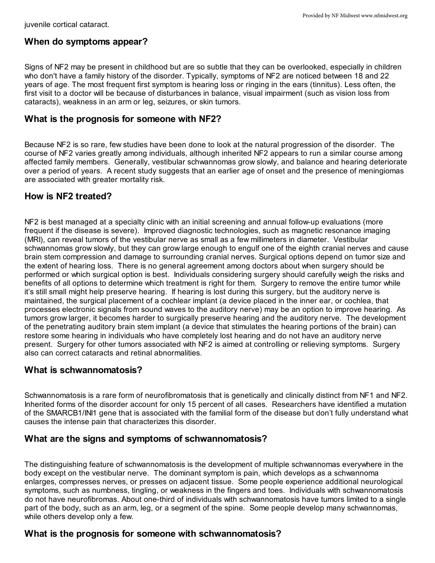juvenile cortical cataract.

# **When do symptoms appear?**

Signs of NF2 may be present in childhood but are so subtle that they can be overlooked, especially in children who don't have a family history of the disorder. Typically, symptoms of NF2 are noticed between 18 and 22 years of age. The most frequent first symptom is hearing loss or ringing in the ears (tinnitus). Less often, the first visit to a doctor will be because of disturbances in balance, visual impairment (such as vision loss from cataracts), weakness in an arm or leg, seizures, or skin tumors.

# **What is the prognosis for someone with NF2?**

Because NF2 is so rare, few studies have been done to look at the natural progression of the disorder. The course of NF2 varies greatly among individuals, although inherited NF2 appears to run a similar course among affected family members. Generally, vestibular schwannomas grow slowly, and balance and hearing deteriorate over a period of years. A recent study suggests that an earlier age of onset and the presence of meningiomas are associated with greater mortality risk.

# **How is NF2 treated?**

NF2 is best managed at a specialty clinic with an initial screening and annual follow-up evaluations (more frequent if the disease is severe). Improved diagnostic technologies, such as magnetic resonance imaging (MRI), can reveal tumors of the vestibular nerve as small as a few millimeters in diameter. Vestibular schwannomas grow slowly, but they can grow large enough to engulf one of the eighth cranial nerves and cause brain stem compression and damage to surrounding cranial nerves. Surgical options depend on tumor size and the extent of hearing loss. There is no general agreement among doctors about when surgery should be performed or which surgical option is best. Individuals considering surgery should carefully weigh the risks and benefits of all options to determine which treatment is right for them. Surgery to remove the entire tumor while it's still small might help preserve hearing. If hearing is lost during this surgery, but the auditory nerve is maintained, the surgical placement of a cochlear implant (a device placed in the inner ear, or cochlea, that processes electronic signals from sound waves to the auditory nerve) may be an option to improve hearing. As tumors grow larger, it becomes harder to surgically preserve hearing and the auditory nerve. The development of the penetrating auditory brain stem implant (a device that stimulates the hearing portions of the brain) can restore some hearing in individuals who have completely lost hearing and do not have an auditory nerve present. Surgery for other tumors associated with NF2 is aimed at controlling or relieving symptoms. Surgery also can correct cataracts and retinal abnormalities.

# **What is schwannomatosis?**

Schwannomatosis is a rare form of neurofibromatosis that is genetically and clinically distinct from NF1 and NF2. Inherited forms of the disorder account for only 15 percent of all cases. Researchers have identified a mutation of the SMARCB1/INI1 gene that is associated with the familial form of the disease but don't fully understand what causes the intense pain that characterizes this disorder.

# **What are the signs and symptoms of schwannomatosis?**

The distinguishing feature of schwannomatosis is the development of multiple schwannomas everywhere in the body except on the vestibular nerve. The dominant symptom is pain, which develops as a schwannoma enlarges, compresses nerves, or presses on adjacent tissue. Some people experience additional neurological symptoms, such as numbness, tingling, or weakness in the fingers and toes. Individuals with schwannomatosis do not have neurofibromas. About one-third of individuals with schwannomatosis have tumors limited to a single part of the body, such as an arm, leg, or a segment of the spine. Some people develop many schwannomas, while others develop only a few.

# **What is the prognosis for someone with schwannomatosis?**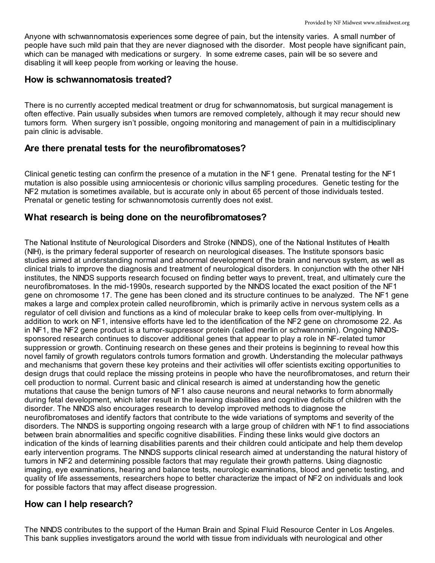Anyone with schwannomatosis experiences some degree of pain, but the intensity varies. A small number of people have such mild pain that they are never diagnosed with the disorder. Most people have significant pain, which can be managed with medications or surgery. In some extreme cases, pain will be so severe and disabling it will keep people from working or leaving the house.

### **How is schwannomatosis treated?**

There is no currently accepted medical treatment or drug for schwannomatosis, but surgical management is often effective. Pain usually subsides when tumors are removed completely, although it may recur should new tumors form. When surgery isn't possible, ongoing monitoring and management of pain in a multidisciplinary pain clinic is advisable.

# **Are there prenatal tests for the neurofibromatoses?**

Clinical genetic testing can confirm the presence of a mutation in the NF1 gene. Prenatal testing for the NF1 mutation is also possible using amniocentesis or chorionic villus sampling procedures. Genetic testing for the NF2 mutation is sometimes available, but is accurate only in about 65 percent of those individuals tested. Prenatal or genetic testing for schwannomotosis currently does not exist.

## **What research is being done on the neurofibromatoses?**

The National Institute of Neurological Disorders and Stroke (NINDS), one of the National Institutes of Health (NIH), is the primary federal supporter of research on neurological diseases. The Institute sponsors basic studies aimed at understanding normal and abnormal development of the brain and nervous system, as well as clinical trials to improve the diagnosis and treatment of neurological disorders. In conjunction with the other NIH institutes, the NINDS supports research focused on finding better ways to prevent, treat, and ultimately cure the neurofibromatoses. In the mid-1990s, research supported by the NINDS located the exact position of the NF1 gene on chromosome 17. The gene has been cloned and its structure continues to be analyzed. The NF1 gene makes a large and complex protein called neurofibromin, which is primarily active in nervous system cells as a regulator of cell division and functions as a kind of molecular brake to keep cells from over-multiplying. In addition to work on NF1, intensive efforts have led to the identification of the NF2 gene on chromosome 22. As in NF1, the NF2 gene product is a tumor-suppressor protein (called merlin or schwannomin). Ongoing NINDSsponsored research continues to discover additional genes that appear to play a role in NF-related tumor suppression or growth. Continuing research on these genes and their proteins is beginning to reveal how this novel family of growth regulators controls tumors formation and growth. Understanding the molecular pathways and mechanisms that govern these key proteins and their activities will offer scientists exciting opportunities to design drugs that could replace the missing proteins in people who have the neurofibromatoses, and return their cell production to normal. Current basic and clinical research is aimed at understanding how the genetic mutations that cause the benign tumors of NF1 also cause neurons and neural networks to form abnormally during fetal development, which later result in the learning disabilities and cognitive deficits of children with the disorder. The NINDS also encourages research to develop improved methods to diagnose the neurofibromatoses and identify factors that contribute to the wide variations of symptoms and severity of the disorders. The NINDS is supporting ongoing research with a large group of children with NF1 to find associations between brain abnormalities and specific cognitive disabilities. Finding these links would give doctors an indication of the kinds of learning disabilities parents and their children could anticipate and help them develop early intervention programs. The NINDS supports clinical research aimed at understanding the natural history of tumors in NF2 and determining possible factors that may regulate their growth patterns. Using diagnostic imaging, eye examinations, hearing and balance tests, neurologic examinations, blood and genetic testing, and quality of life assessements, researchers hope to better characterize the impact of NF2 on individuals and look for possible factors that may affect disease progression.

# **How can I help research?**

The NINDS contributes to the support of the Human Brain and Spinal Fluid Resource Center in Los Angeles. This bank supplies investigators around the world with tissue from individuals with neurological and other